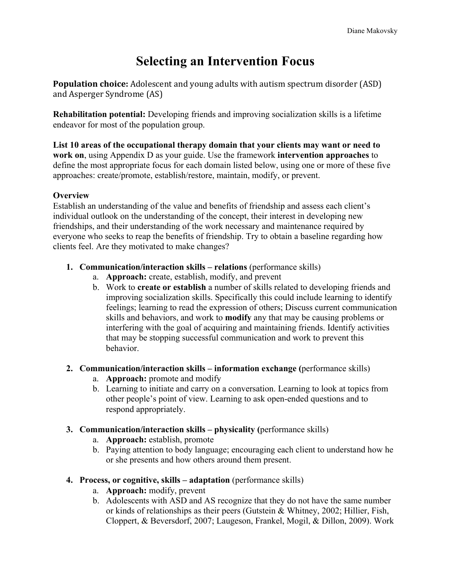# **Selecting an Intervention Focus**

**Population choice:** Adolescent and young adults with autism spectrum disorder (ASD) and Asperger Syndrome (AS)

**Rehabilitation potential:** Developing friends and improving socialization skills is a lifetime endeavor for most of the population group.

**List 10 areas of the occupational therapy domain that your clients may want or need to work on**, using Appendix D as your guide. Use the framework **intervention approaches** to define the most appropriate focus for each domain listed below, using one or more of these five approaches: create/promote, establish/restore, maintain, modify, or prevent.

# **Overview**

Establish an understanding of the value and benefits of friendship and assess each client's individual outlook on the understanding of the concept, their interest in developing new friendships, and their understanding of the work necessary and maintenance required by everyone who seeks to reap the benefits of friendship. Try to obtain a baseline regarding how clients feel. Are they motivated to make changes?

- **1. Communication/interaction skills relations** (performance skills)
	- a. **Approach:** create, establish, modify, and prevent
	- b. Work to **create or establish** a number of skills related to developing friends and improving socialization skills. Specifically this could include learning to identify feelings; learning to read the expression of others; Discuss current communication skills and behaviors, and work to **modify** any that may be causing problems or interfering with the goal of acquiring and maintaining friends. Identify activities that may be stopping successful communication and work to prevent this behavior.

# **2. Communication/interaction skills – information exchange (**performance skills)

- a. **Approach:** promote and modify
- b. Learning to initiate and carry on a conversation. Learning to look at topics from other people's point of view. Learning to ask open-ended questions and to respond appropriately.
- **3. Communication/interaction skills – physicality (**performance skills)
	- a. **Approach:** establish, promote
	- b. Paying attention to body language; encouraging each client to understand how he or she presents and how others around them present.

# **4. Process, or cognitive, skills – adaptation** (performance skills)

- a. **Approach:** modify, prevent
- b. Adolescents with ASD and AS recognize that they do not have the same number or kinds of relationships as their peers (Gutstein & Whitney, 2002; Hillier, Fish, Cloppert, & Beversdorf, 2007; Laugeson, Frankel, Mogil, & Dillon, 2009). Work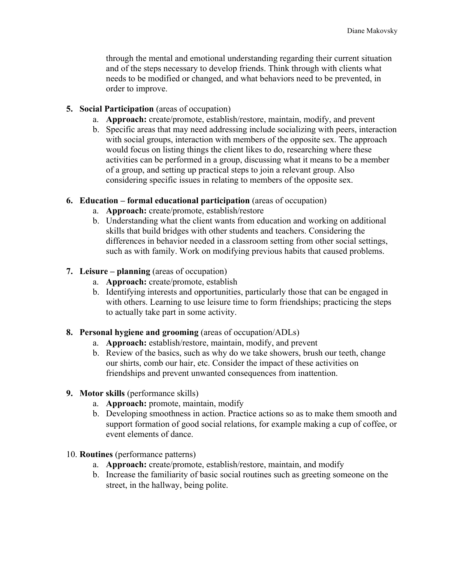through the mental and emotional understanding regarding their current situation and of the steps necessary to develop friends. Think through with clients what needs to be modified or changed, and what behaviors need to be prevented, in order to improve.

### **5. Social Participation** (areas of occupation)

- a. **Approach:** create/promote, establish/restore, maintain, modify, and prevent
- b. Specific areas that may need addressing include socializing with peers, interaction with social groups, interaction with members of the opposite sex. The approach would focus on listing things the client likes to do, researching where these activities can be performed in a group, discussing what it means to be a member of a group, and setting up practical steps to join a relevant group. Also considering specific issues in relating to members of the opposite sex.

## **6. Education – formal educational participation** (areas of occupation)

- a. **Approach:** create/promote, establish/restore
- b. Understanding what the client wants from education and working on additional skills that build bridges with other students and teachers. Considering the differences in behavior needed in a classroom setting from other social settings, such as with family. Work on modifying previous habits that caused problems.

## **7. Leisure – planning** (areas of occupation)

- a. **Approach:** create/promote, establish
- b. Identifying interests and opportunities, particularly those that can be engaged in with others. Learning to use leisure time to form friendships; practicing the steps to actually take part in some activity.

#### **8. Personal hygiene and grooming** (areas of occupation/ADLs)

- a. **Approach:** establish/restore, maintain, modify, and prevent
- b. Review of the basics, such as why do we take showers, brush our teeth, change our shirts, comb our hair, etc. Consider the impact of these activities on friendships and prevent unwanted consequences from inattention.

#### **9. Motor skills** (performance skills)

- a. **Approach:** promote, maintain, modify
- b. Developing smoothness in action. Practice actions so as to make them smooth and support formation of good social relations, for example making a cup of coffee, or event elements of dance.
- 10. **Routines** (performance patterns)
	- a. **Approach:** create/promote, establish/restore, maintain, and modify
	- b. Increase the familiarity of basic social routines such as greeting someone on the street, in the hallway, being polite.